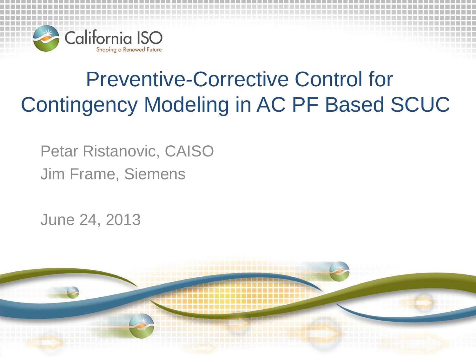

## Preventive-Corrective Control for Contingency Modeling in AC PF Based SCUC

Petar Ristanovic, CAISO Jim Frame, Siemens

June 24, 2013

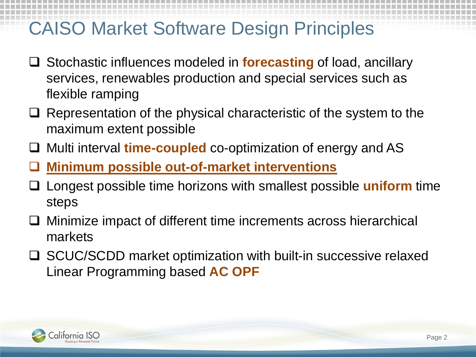### CAISO Market Software Design Principles

- Stochastic influences modeled in **forecasting** of load, ancillary services, renewables production and special services such as flexible ramping
- $\Box$  Representation of the physical characteristic of the system to the maximum extent possible
- □ Multi interval **time-coupled** co-optimization of energy and AS
- **Minimum possible out-of-market interventions**
- Longest possible time horizons with smallest possible **uniform** time steps
- $\Box$  Minimize impact of different time increments across hierarchical markets
- **□** SCUC/SCDD market optimization with built-in successive relaxed Linear Programming based **AC OPF**

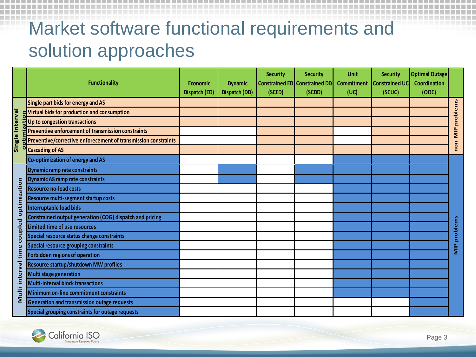## Market software functional requirements and solution approaches

|                           | <b>Functionality</b>                                           | <b>Economic</b><br>Dispatch (ED) | <b>Dynamic</b><br>Dispatch (DD) | <b>Security</b><br>(SCED) | <b>Security</b><br><b>Constrained ED</b> Constrained DD<br>(SCDD) | <b>Unit</b><br><b>Commitment</b><br>(UC) | <b>Security</b><br><b>Constrained UC</b><br>(SCUC) | <b>Optimal Outage</b><br>Coordination<br>(00C) |              |
|---------------------------|----------------------------------------------------------------|----------------------------------|---------------------------------|---------------------------|-------------------------------------------------------------------|------------------------------------------|----------------------------------------------------|------------------------------------------------|--------------|
| Single interval           | Single part bids for energy and AS                             |                                  |                                 |                           |                                                                   |                                          |                                                    |                                                |              |
|                           | Virtual bids for production and consumption                    |                                  |                                 |                           |                                                                   |                                          |                                                    |                                                | problems     |
|                           | Up to congestion transactions                                  |                                  |                                 |                           |                                                                   |                                          |                                                    |                                                |              |
|                           | <b>Preventive enforcement of transmission constraints</b>      |                                  |                                 |                           |                                                                   |                                          |                                                    |                                                |              |
|                           | Preventive/corrective enforecement of transmission constraints |                                  |                                 |                           |                                                                   |                                          |                                                    |                                                | non-MIP      |
|                           | <b>Cascading of AS</b>                                         |                                  |                                 |                           |                                                                   |                                          |                                                    |                                                |              |
|                           | Co-optimization of energy and AS                               |                                  |                                 |                           |                                                                   |                                          |                                                    |                                                |              |
|                           | Dynamic ramp rate constraints                                  |                                  |                                 |                           |                                                                   |                                          |                                                    |                                                |              |
|                           | <b>Dynamic AS ramp rate constraints</b>                        |                                  |                                 |                           |                                                                   |                                          |                                                    |                                                |              |
|                           | <b>Resource no-load costs</b>                                  |                                  |                                 |                           |                                                                   |                                          |                                                    |                                                |              |
| optimization              | Resource multi-segment startup costs                           |                                  |                                 |                           |                                                                   |                                          |                                                    |                                                |              |
|                           | <b>Interruptable load bids</b>                                 |                                  |                                 |                           |                                                                   |                                          |                                                    |                                                |              |
|                           | Constrained output generation (COG) dispatch and pricing       |                                  |                                 |                           |                                                                   |                                          |                                                    |                                                |              |
|                           | <b>Limited time of use resources</b>                           |                                  |                                 |                           |                                                                   |                                          |                                                    |                                                |              |
| coupled                   | Special resource status change constraints                     |                                  |                                 |                           |                                                                   |                                          |                                                    |                                                | MIP problems |
| time<br>interval<br>Multi | Special resource grouping constraints                          |                                  |                                 |                           |                                                                   |                                          |                                                    |                                                |              |
|                           | Forbidden regions of operation                                 |                                  |                                 |                           |                                                                   |                                          |                                                    |                                                |              |
|                           | Resource startup/shutdown MW profiles                          |                                  |                                 |                           |                                                                   |                                          |                                                    |                                                |              |
|                           | Multi stage generation                                         |                                  |                                 |                           |                                                                   |                                          |                                                    |                                                |              |
|                           | Multi-interval block transactions                              |                                  |                                 |                           |                                                                   |                                          |                                                    |                                                |              |
|                           | Minimum on-line commitment constraints                         |                                  |                                 |                           |                                                                   |                                          |                                                    |                                                |              |
|                           | <b>Generation and transmission outage requests</b>             |                                  |                                 |                           |                                                                   |                                          |                                                    |                                                |              |
|                           | Special grouping constraints for outage requests               |                                  |                                 |                           |                                                                   |                                          |                                                    |                                                |              |

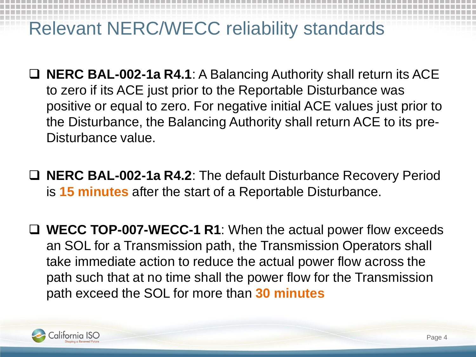### Relevant NERC/WECC reliability standards

- **NERC BAL-002-1a R4.1**: A Balancing Authority shall return its ACE to zero if its ACE just prior to the Reportable Disturbance was positive or equal to zero. For negative initial ACE values just prior to the Disturbance, the Balancing Authority shall return ACE to its pre-Disturbance value.
- **NERC BAL-002-1a R4.2**: The default Disturbance Recovery Period is **15 minutes** after the start of a Reportable Disturbance.
- **WECC TOP-007-WECC-1 R1**: When the actual power flow exceeds an SOL for a Transmission path, the Transmission Operators shall take immediate action to reduce the actual power flow across the path such that at no time shall the power flow for the Transmission path exceed the SOL for more than **30 minutes**

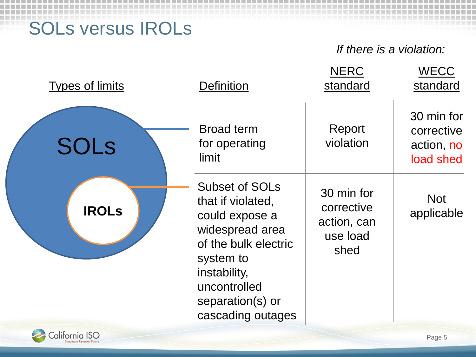SOLs versus IROLs

*If there is a violation:*

| <b>Types of limits</b> | <b>Definition</b>                                                                                                                                                                      | <b>NERC</b><br>standard                                     | <b>WECC</b><br>standard                             |
|------------------------|----------------------------------------------------------------------------------------------------------------------------------------------------------------------------------------|-------------------------------------------------------------|-----------------------------------------------------|
| <b>SOLS</b>            | <b>Broad term</b><br>for operating<br>limit                                                                                                                                            | Report<br>violation                                         | 30 min for<br>corrective<br>action, no<br>load shed |
| <b>IROLS</b>           | Subset of SOLs<br>that if violated,<br>could expose a<br>widespread area<br>of the bulk electric<br>system to<br>instability,<br>uncontrolled<br>separation(s) or<br>cascading outages | 30 min for<br>corrective<br>action, can<br>use load<br>shed | <b>Not</b><br>applicable                            |

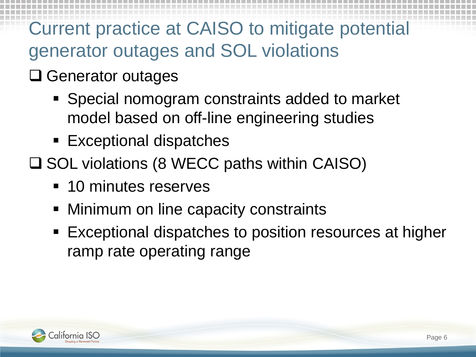## Current practice at CAISO to mitigate potential generator outages and SOL violations

- **□ Generator outages** 
	- Special nomogram constraints added to market model based on off-line engineering studies
	- Exceptional dispatches
- **□ SOL violations (8 WECC paths within CAISO)** 
	- **10 minutes reserves**
	- Minimum on line capacity constraints
	- Exceptional dispatches to position resources at higher ramp rate operating range

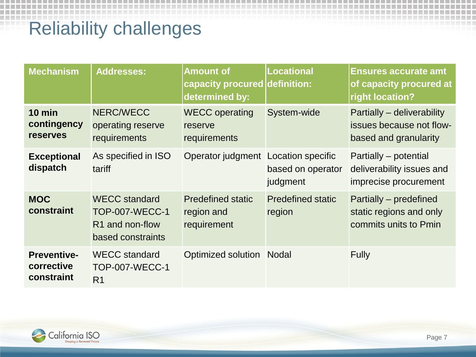## Reliability challenges

| <b>Mechanism</b>                               | Addresses:                                                                                        | <b>Amount of</b><br>capacity procured<br>determined by: | <b>Locational</b><br>definition:                   | <b>Ensures accurate amt</b><br>of capacity procured at<br>right location?       |
|------------------------------------------------|---------------------------------------------------------------------------------------------------|---------------------------------------------------------|----------------------------------------------------|---------------------------------------------------------------------------------|
| $10$ min<br>contingency<br><b>reserves</b>     | NERC/WECC<br>operating reserve<br>requirements                                                    | <b>WECC operating</b><br>reserve<br>requirements        | System-wide                                        | Partially - deliverability<br>issues because not flow-<br>based and granularity |
| <b>Exceptional</b><br>dispatch                 | As specified in ISO<br>tariff                                                                     | Operator judgment                                       | Location specific<br>based on operator<br>judgment | Partially – potential<br>deliverability issues and<br>imprecise procurement     |
| <b>MOC</b><br>constraint                       | <b>WECC standard</b><br><b>TOP-007-WECC-1</b><br>R <sub>1</sub> and non-flow<br>based constraints | <b>Predefined static</b><br>region and<br>requirement   | <b>Predefined static</b><br>region                 | Partially – predefined<br>static regions and only<br>commits units to Pmin      |
| <b>Preventive-</b><br>corrective<br>constraint | <b>WECC</b> standard<br><b>TOP-007-WECC-1</b><br>R <sub>1</sub>                                   | Optimized solution Nodal                                |                                                    | <b>Fully</b>                                                                    |

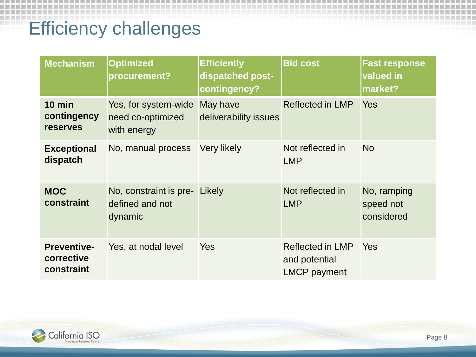## Efficiency challenges

| <b>Mechanism</b>                               | <b>Optimized</b><br>procurement?                         | <b>Efficiently</b><br>dispatched post-<br>contingency? | <b>Bid cost</b>                                          | <b>Fast response</b><br>valued in<br>market? |
|------------------------------------------------|----------------------------------------------------------|--------------------------------------------------------|----------------------------------------------------------|----------------------------------------------|
| $10$ min<br>contingency<br><b>reserves</b>     | Yes, for system-wide<br>need co-optimized<br>with energy | May have<br>deliverability issues                      | <b>Reflected in LMP</b>                                  | <b>Yes</b>                                   |
| <b>Exceptional</b><br>dispatch                 | No, manual process                                       | Very likely                                            | Not reflected in<br><b>LMP</b>                           | <b>No</b>                                    |
| <b>MOC</b><br>constraint                       | No, constraint is pre-<br>defined and not<br>dynamic     | Likely                                                 | Not reflected in<br><b>LMP</b>                           | No, ramping<br>speed not<br>considered       |
| <b>Preventive-</b><br>corrective<br>constraint | Yes, at nodal level                                      | <b>Yes</b>                                             | Reflected in LMP<br>and potential<br><b>LMCP</b> payment | Yes                                          |

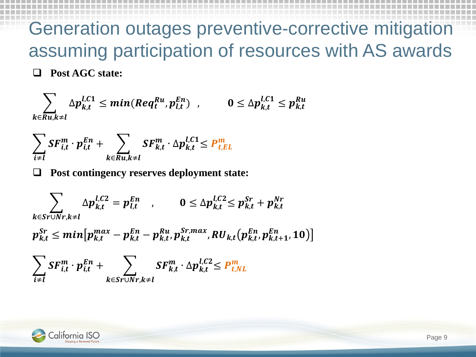#### Generation outages preventive-corrective mitigation assuming participation of resources with AS awards **Post AGC state:**

$$
\sum_{k \in Ru, k \neq l} \Delta p_{k,t}^{l,C1} \leq min(Req_t^{Ru}, p_{l,t}^{En}) \quad , \qquad 0 \leq \Delta p_{k,t}^{l,C1} \leq p_{k,t}^{Ru}
$$

$$
\sum_{i \neq l} SF_{i,t}^m \cdot p_{i,t}^{En} + \sum_{k \in Ru, k \neq l} SF_{k,t}^m \cdot \Delta p_{k,t}^{l,C1} \leq P_{t,EL}^m
$$

**Post contingency reserves deployment state:**

$$
\sum_{k \in S_r \cup Nr, k \neq l} \Delta p_{k,t}^{l,C2} = p_{l,t}^{En} \qquad 0 \leq \Delta p_{k,t}^{l,C2} \leq p_{k,t}^{Sr} + p_{k,t}^{Nr}
$$
\n
$$
p_{k,t}^{Sr} \leq \min[p_{k,t}^{max} - p_{k,t}^{En} - p_{k,t}^{Ru}, p_{k,t}^{Sr, max}, RU_{k,t}(p_{k,t}^{En}, p_{k,t+1}^{En}, 10)]
$$
\n
$$
\sum_{i \neq l} SF_{i,t}^{m} \cdot p_{i,t}^{En} + \sum_{k \in S_r \cup Nr, k \neq l} SF_{k,t}^{m} \cdot \Delta p_{k,t}^{l,C2} \leq P_{t,NL}^{m}
$$

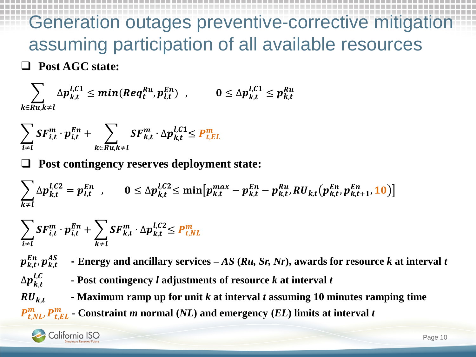#### Generation outages preventive-corrective mitigation assuming participation of all available resources **Post AGC state:**

$$
\sum_{k \in Ru, k \neq l} \Delta p_{k,t}^{l,C1} \leq min(Req_t^{Ru}, p_{l,t}^{En}) \quad , \qquad 0 \leq \Delta p_{k,t}^{l,C1} \leq p_{k,t}^{Ru}
$$

$$
\sum_{i \neq l} SF_{i,t}^m \cdot p_{i,t}^{En} + \sum_{k \in Ru, k \neq l} SF_{k,t}^m \cdot \Delta p_{k,t}^{l,C1} \leq P_{t,EL}^m
$$

**Post contingency reserves deployment state:**

$$
\sum_{k\neq l} \Delta p_{k,t}^{l,C2} = p_{l,t}^{En} \quad , \qquad 0 \leq \Delta p_{k,t}^{l,C2} \leq \min \big[ p_{k,t}^{max} - p_{k,t}^{En} - p_{k,t}^{Ru}, RU_{k,t}(p_{k,t}^{En}, p_{k,t+1}^{En}, 10) \big]
$$

$$
\sum_{i \neq l} SF_{i,t}^m \cdot p_{i,t}^{En} + \sum_{k \neq l} SF_{k,t}^m \cdot \Delta p_{k,t}^{l,C2} \leq P_{t,NL}^m
$$

 $\boldsymbol{p}^{En}_{k,t}$ ,  $\boldsymbol{p}^{AS}_{k,t}$ **- Energy and ancillary services –** *AS* **(***Ru, Sr, Nr***), awards for resource** *k* **at interval** *t*

, **- Post contingency** *l* **adjustments of resource** *k* **at interval** *t*

 $RU_{kt}$  **- Maximum ramp up for unit** *k* **at interval** *t* **assuming 10 minutes ramping time**  $P_{t,NL}^{m}$ ,  $P_{t,EL}^{m}$  - Constraint *m* normal (*NL*) and emergency (*EL*) limits at interval *t* 



 $\Delta p_{k,t}^{l,C}$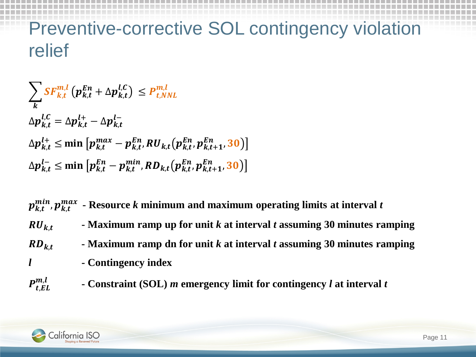## Preventive-corrective SOL contingency violation relief

 $\sum \textit{SF}^{m,l}_{k,t}$  $\boldsymbol{k}$  $p_{k,t}^{En} + \Delta p_{k,t}^{t,C} \le P_{t,NN}^{m,t}$  $\Delta p_{k,t}^{l,C} = \Delta p_{k,t}^{l+} - \Delta p_{k,t}^{l-}$  $\Delta p_{k,t}^{l+}$  ≤ min  $\left[ p_{k,t}^{max} - p_{k,t}^{kn}, RU_{k,t}(p_{k,t}^{kn}, p_{k,t+1}^{kn}, 3)\right]$  $\Delta p_{k,t}^{l-}$  ≤ min  $\left[ p_{k,t}^{En} - p_{k,t}^{min}, RD_{k,t} (p_{k,t}^{En}, p_{k,t+1}^{En}, 3) \right]$ 

 $p_{k,t}^{min}, p_{k,t}^{max}$  - Resource  $k$  minimum and maximum operating limits at interval  $t$ 

- $\mathbf{R} \mathbf{U}_{kt}$  **- Maximum** ramp up for unit *k* at interval *t* assuming 30 minutes ramping
- $R_{k,t}$  **- Maximum** ramp dn for unit *k* at interval *t* assuming 30 minutes ramping
- *l* **- Contingency index**
- $P_{t,EL}^{m,l}$ , **- Constraint (SOL)** *m* **emergency limit for contingency** *l* **at interval** *t*

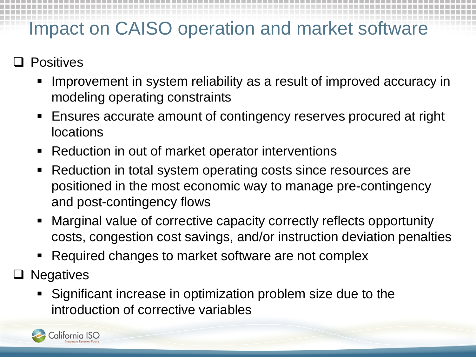### Impact on CAISO operation and market software

- **Positives** 
	- Improvement in system reliability as a result of improved accuracy in modeling operating constraints
	- Ensures accurate amount of contingency reserves procured at right locations
	- Reduction in out of market operator interventions
	- Reduction in total system operating costs since resources are positioned in the most economic way to manage pre-contingency and post-contingency flows
	- Marginal value of corrective capacity correctly reflects opportunity costs, congestion cost savings, and/or instruction deviation penalties
	- Required changes to market software are not complex
- $\Box$  Negatives
	- Significant increase in optimization problem size due to the introduction of corrective variables

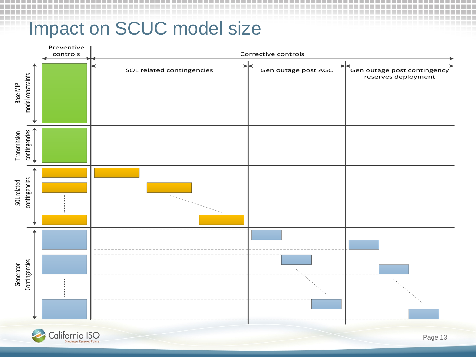#### Impact on SCUC model size

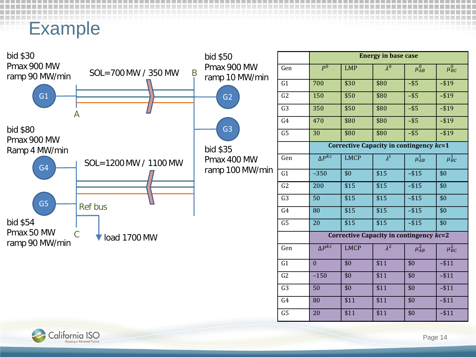#### Example